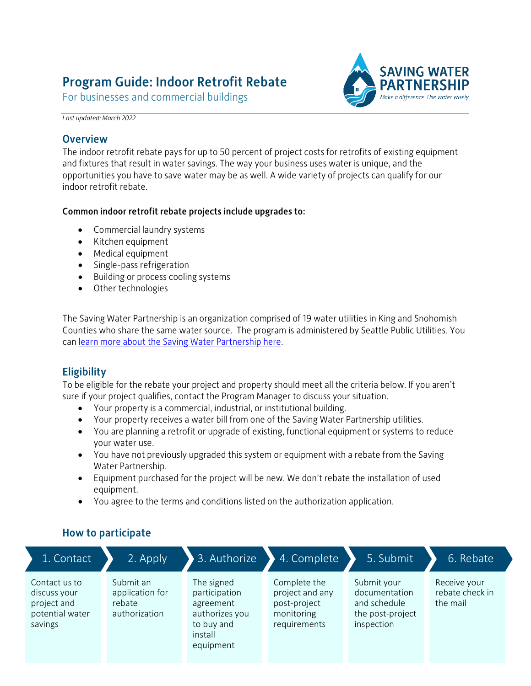# Program Guide: Indoor Retrofit Rebate

For businesses and commercial buildings



*Last updated: March 2022*

# **Overview**

The indoor retrofit rebate pays for up to 50 percent of project costs for retrofits of existing equipment and fixtures that result in water savings. The way your business uses water is unique, and the opportunities you have to save water may be as well. A wide variety of projects can qualify for our indoor retrofit rebate.

## Common indoor retrofit rebate projects include upgrades to:

- Commercial laundry systems
- Kitchen equipment
- Medical equipment
- Single-pass refrigeration
- Building or process cooling systems
- Other technologies

The Saving Water Partnership is an organization comprised of 19 water utilities in King and Snohomish Counties who share the same water source. The program is administered by Seattle Public Utilities. You ca[n learn more about the Saving Water Partnership here.](https://www.savingwater.org/about/service-area/)

# **Eligibility**

To be eligible for the rebate your project and property should meet all the criteria below. If you aren't sure if your project qualifies, contact the Program Manager to discuss your situation.

- Your property is a commercial, industrial, or institutional building.
- Your property receives a water bill from one of the Saving Water Partnership utilities.
- You are planning a retrofit or upgrade of existing, functional equipment or systems to reduce your water use.
- You have not previously upgraded this system or equipment with a rebate from the Saving Water Partnership.
- Equipment purchased for the project will be new. We don't rebate the installation of used equipment.
- You agree to the terms and conditions listed on the authorization application.

# How to participate

| 1. Contact                                                                 | 2. Apply                                                | 3. Authorize                                                                                     | 4. Complete                                                                   | 5. Submit                                                                      | 6. Rebate                                   |
|----------------------------------------------------------------------------|---------------------------------------------------------|--------------------------------------------------------------------------------------------------|-------------------------------------------------------------------------------|--------------------------------------------------------------------------------|---------------------------------------------|
| Contact us to<br>discuss your<br>project and<br>potential water<br>savings | Submit an<br>application for<br>rebate<br>authorization | The signed<br>participation<br>agreement<br>authorizes you<br>to buy and<br>install<br>equipment | Complete the<br>project and any<br>post-project<br>monitoring<br>requirements | Submit your<br>documentation<br>and schedule<br>the post-project<br>inspection | Receive your<br>rebate check in<br>the mail |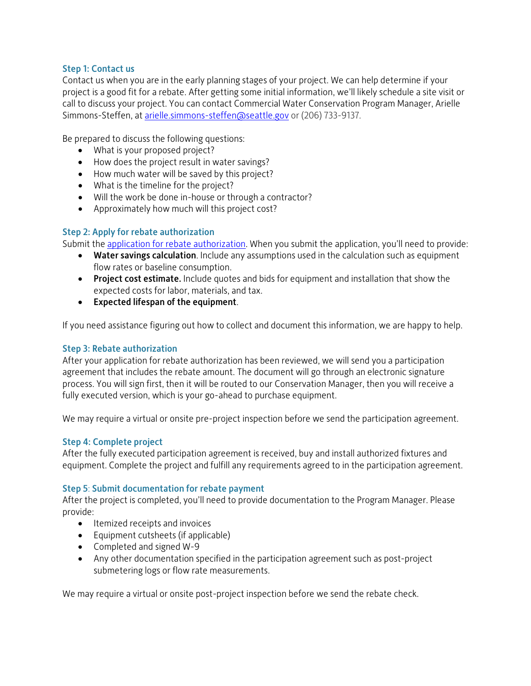#### Step 1: Contact us

Contact us when you are in the early planning stages of your project. We can help determine if your project is a good fit for a rebate. After getting some initial information, we'll likely schedule a site visit or call to discuss your project. You can contact Commercial Water Conservation Program Manager, Arielle Simmons-Steffen, at [arielle.simmons-steffen@seattle.gov](mailto:arielle.simmons-steffen@seattle.gov) or (206) 733-9137.

Be prepared to discuss the following questions:

- What is your proposed project?
- How does the project result in water savings?
- How much water will be saved by this project?
- What is the timeline for the project?
- Will the work be done in-house or through a contractor?
- Approximately how much will this project cost?

#### Step 2: Apply for rebate authorization

Submit the application for [rebate authorization.](http://www.savingwater.org/indoor-retrofit-rebates) When you submit the application, you'll need to provide:

- Water savings calculation. Include any assumptions used in the calculation such as equipment flow rates or baseline consumption.
- Project cost estimate. Include quotes and bids for equipment and installation that show the expected costs for labor, materials, and tax.
- Expected lifespan of the equipment.

If you need assistance figuring out how to collect and document this information, we are happy to help.

#### Step 3: Rebate authorization

After your application for rebate authorization has been reviewed, we will send you a participation agreement that includes the rebate amount. The document will go through an electronic signature process. You will sign first, then it will be routed to our Conservation Manager, then you will receive a fully executed version, which is your go-ahead to purchase equipment.

We may require a virtual or onsite pre-project inspection before we send the participation agreement.

#### Step 4: Complete project

After the fully executed participation agreement is received, buy and install authorized fixtures and equipment. Complete the project and fulfill any requirements agreed to in the participation agreement.

#### Step 5: Submit documentation for rebate payment

After the project is completed, you'll need to provide documentation to the Program Manager. Please provide:

- Itemized receipts and invoices
- Equipment cutsheets (if applicable)
- Completed and signed W-9
- Any other documentation specified in the participation agreement such as post-project submetering logs or flow rate measurements.

We may require a virtual or onsite post-project inspection before we send the rebate check.